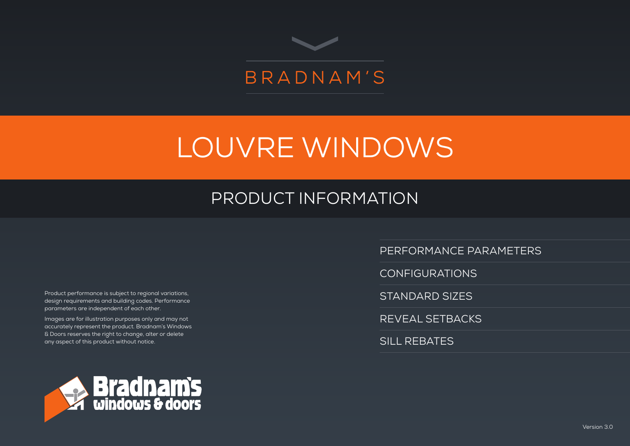

# LOUVRE WINDOWS

# PRODUCT INFORMATION

Product performance is subject to regional variations, design requirements and building codes. Performance parameters are independent of each other.

Images are for illustration purposes only and may not accurately represent the product. Bradnam's Windows & Doors reserves the right to change, alter or delete any aspect of this product without notice.



PERFORMANCE PARAMETERS

CONFIGURATIONS

STANDARD SIZES

REVEAL SETBACKS

SILL REBATES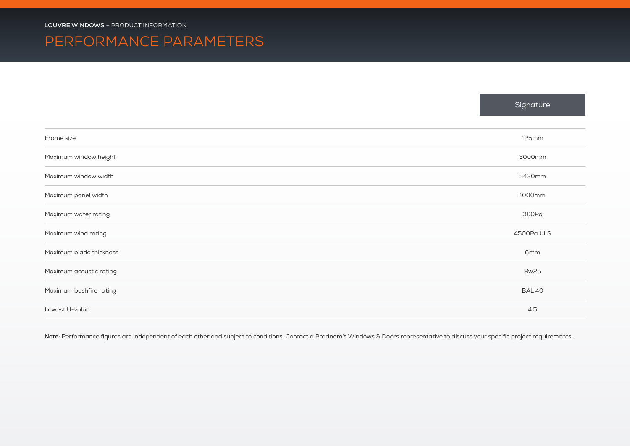# PERFORMANCE PARAMETERS

|                         | Signature       |
|-------------------------|-----------------|
| Frame size              | 125mm           |
| Maximum window height   | 3000mm          |
| Maximum window width    | 5430mm          |
| Maximum panel width     | 1000mm          |
| Maximum water rating    | 300Pa           |
| Maximum wind rating     | 4500Pa ULS      |
| Maximum blade thickness | 6 <sub>mm</sub> |
| Maximum acoustic rating | <b>Rw25</b>     |
| Maximum bushfire rating | <b>BAL 40</b>   |
| Lowest U-value          | 4.5             |

Note: Performance figures are independent of each other and subject to conditions. Contact a Bradnam's Windows & Doors representative to discuss your specific project requirements.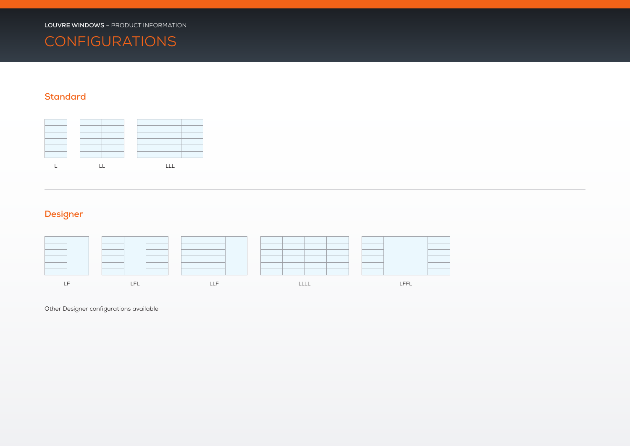

### **Standard**



## **Designer**



Other Designer configurations available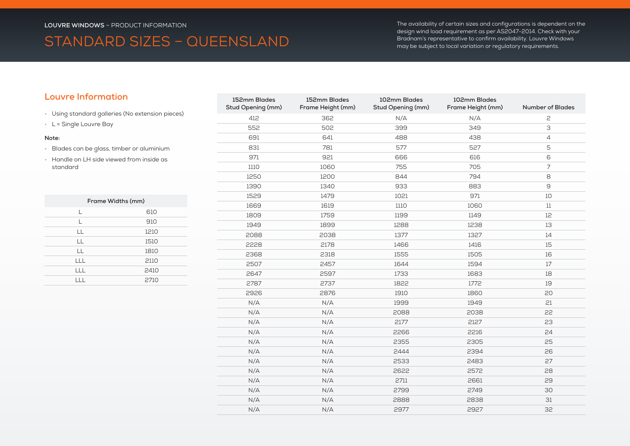# STANDARD SIZES – QUEENSLAND

The availability of certain sizes and configurations is dependent on the design wind load requirement as per AS2047-2014. Check with your Bradnam's representative to confirm availability. Louvre Windows may be subject to local variation or regulatory requirements.

### **Louvre Information**

- Using standard galleries (No extension pieces)
- L = Single Louvre Bay

#### **Note:**

- Blades can be glass, timber or aluminium
- Handle on LH side viewed from inside as standard

| Frame Widths (mm) |      |  |  |  |
|-------------------|------|--|--|--|
| L                 | 610  |  |  |  |
| L                 | 910  |  |  |  |
| LL                | 1210 |  |  |  |
| LL                | 1510 |  |  |  |
| LL                | 1810 |  |  |  |
| LLL               | 2110 |  |  |  |
| LLL               | 2410 |  |  |  |
|                   | 2710 |  |  |  |

| 152mm Blades<br>Stud Opening (mm) | 152mm Blades<br>Frame Height (mm) | 102mm Blades<br>Stud Opening (mm) | 102mm Blades<br>Frame Height (mm) | <b>Number of Blades</b>                                                                                                                                                                                                                                                                                                                                                                                                                                  |
|-----------------------------------|-----------------------------------|-----------------------------------|-----------------------------------|----------------------------------------------------------------------------------------------------------------------------------------------------------------------------------------------------------------------------------------------------------------------------------------------------------------------------------------------------------------------------------------------------------------------------------------------------------|
| 412                               | 362                               | N/A                               | N/A                               | $\mathsf{P}$                                                                                                                                                                                                                                                                                                                                                                                                                                             |
| 552                               | 502                               | 399                               | 349                               | 3                                                                                                                                                                                                                                                                                                                                                                                                                                                        |
| 691                               | 641                               | 488                               | 438                               | $\overline{4}$                                                                                                                                                                                                                                                                                                                                                                                                                                           |
| 831                               | 781                               | 577                               | 527                               | 5                                                                                                                                                                                                                                                                                                                                                                                                                                                        |
| 971                               | 921                               | 666                               | 616                               | 6                                                                                                                                                                                                                                                                                                                                                                                                                                                        |
| 1110                              | 1060                              | 755                               | 705                               | $\overline{7}$                                                                                                                                                                                                                                                                                                                                                                                                                                           |
| 1250                              | 1200                              | 844                               | 794                               | 8                                                                                                                                                                                                                                                                                                                                                                                                                                                        |
| 1390                              | 1340                              | 933                               | 883                               | $\mathsf{S}% _{T}=\mathsf{S}_{T}\!\left( a,b\right) ,\ \mathsf{S}_{T}=\mathsf{S}_{T}\!\left( a,b\right) ,\ \mathsf{S}_{T}=\mathsf{S}_{T}\!\left( a,b\right) ,\ \mathsf{S}_{T}=\mathsf{S}_{T}\!\left( a,b\right) ,\ \mathsf{S}_{T}=\mathsf{S}_{T}\!\left( a,b\right) ,\ \mathsf{S}_{T}=\mathsf{S}_{T}\!\left( a,b\right) ,\ \mathsf{S}_{T}=\mathsf{S}_{T}\!\left( a,b\right) ,\ \mathsf{S}_{T}=\mathsf{S}_{T}\!\left( a,b\right) ,\ \mathsf{S}_{T}=\math$ |
| 1529                              | 1479                              | 1021                              | 971                               | 10                                                                                                                                                                                                                                                                                                                                                                                                                                                       |
| 1669                              | 1619                              | 1110                              | 1060                              | 11                                                                                                                                                                                                                                                                                                                                                                                                                                                       |
| 1809                              | 1759                              | 1199                              | 1149                              | 12                                                                                                                                                                                                                                                                                                                                                                                                                                                       |
| 1949                              | 1899                              | 1288                              | 1238                              | 13                                                                                                                                                                                                                                                                                                                                                                                                                                                       |
| 2088                              | 2038                              | 1377                              | 1327                              | 14                                                                                                                                                                                                                                                                                                                                                                                                                                                       |
| 2228                              | 2178                              | 1466                              | 1416                              | 15                                                                                                                                                                                                                                                                                                                                                                                                                                                       |
| 2368                              | 2318                              | 1555                              | 1505                              | 16                                                                                                                                                                                                                                                                                                                                                                                                                                                       |
| 2507                              | 2457                              | 1644                              | 1594                              | 17                                                                                                                                                                                                                                                                                                                                                                                                                                                       |
| 2647                              | 2597                              | 1733                              | 1683                              | 18                                                                                                                                                                                                                                                                                                                                                                                                                                                       |
| 2787                              | 2737                              | 1822                              | 1772                              | 19                                                                                                                                                                                                                                                                                                                                                                                                                                                       |
| 2926                              | 2876                              | 1910                              | 1860                              | 20                                                                                                                                                                                                                                                                                                                                                                                                                                                       |
| N/A                               | N/A                               | 1999                              | 1949                              | 21                                                                                                                                                                                                                                                                                                                                                                                                                                                       |
| N/A                               | N/A                               | 2088                              | 2038                              | 22                                                                                                                                                                                                                                                                                                                                                                                                                                                       |
| N/A                               | N/A                               | 2177                              | 2127                              | 23                                                                                                                                                                                                                                                                                                                                                                                                                                                       |
| N/A                               | N/A                               | 2266                              | 2216                              | 24                                                                                                                                                                                                                                                                                                                                                                                                                                                       |
| N/A                               | N/A                               | 2355                              | 2305                              | 25                                                                                                                                                                                                                                                                                                                                                                                                                                                       |
| N/A                               | N/A                               | 2444                              | 2394                              | 26                                                                                                                                                                                                                                                                                                                                                                                                                                                       |
| N/A                               | N/A                               | 2533                              | 2483                              | 27                                                                                                                                                                                                                                                                                                                                                                                                                                                       |
| N/A                               | N/A                               | 2622                              | 2572                              | 28                                                                                                                                                                                                                                                                                                                                                                                                                                                       |
| N/A                               | N/A                               | 2711                              | 2661                              | 29                                                                                                                                                                                                                                                                                                                                                                                                                                                       |
| N/A                               | N/A                               | 2799                              | 2749                              | 30                                                                                                                                                                                                                                                                                                                                                                                                                                                       |
| N/A                               | N/A                               | 2888                              | 2838                              | 31                                                                                                                                                                                                                                                                                                                                                                                                                                                       |
| N/A                               | N/A                               | 2977                              | 2927                              | 32                                                                                                                                                                                                                                                                                                                                                                                                                                                       |
|                                   |                                   |                                   |                                   |                                                                                                                                                                                                                                                                                                                                                                                                                                                          |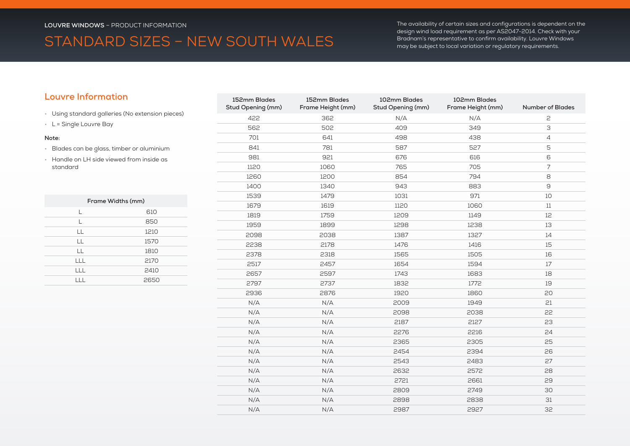# STANDARD SIZES – NEW SOUTH WALES

The availability of certain sizes and configurations is dependent on the design wind load requirement as per AS2047-2014. Check with your Bradnam's representative to confirm availability. Louvre Windows may be subject to local variation or regulatory requirements.

### **Louvre Information**

- Using standard galleries (No extension pieces)
- L = Single Louvre Bay

#### **Note:**

- Blades can be glass, timber or aluminium
- Handle on LH side viewed from inside as standard

| Frame Widths (mm) |      |  |  |  |
|-------------------|------|--|--|--|
| L                 | 610  |  |  |  |
| L                 | 850  |  |  |  |
| LL                | 1210 |  |  |  |
| LL                | 1570 |  |  |  |
| LL                | 1810 |  |  |  |
| LLL               | 2170 |  |  |  |
| LLL               | 2410 |  |  |  |
|                   | 2650 |  |  |  |

| 152mm Blades<br>Stud Opening (mm) | 152mm Blades<br>Frame Height (mm) | 102mm Blades<br>Stud Opening (mm) | 102mm Blades<br>Frame Height (mm) | <b>Number of Blades</b> |
|-----------------------------------|-----------------------------------|-----------------------------------|-----------------------------------|-------------------------|
| 422                               | 362                               | N/A                               | N/A                               | 2                       |
| 562                               | 502                               | 409                               | 349                               | 3                       |
| 701                               | 641                               | 498                               | 438                               | $\overline{4}$          |
| 841                               | 781                               | 587                               | 527                               | 5                       |
| 981                               | 921                               | 676                               | 616                               | 6                       |
| 1120                              | 1060                              | 765                               | 705                               | $\overline{7}$          |
| 1260                              | 1200                              | 854                               | 794                               | 8                       |
| 1400                              | 1340                              | 943                               | 883                               | $\Theta$                |
| 1539                              | 1479                              | 1031                              | 971                               | 10                      |
| 1679                              | 1619                              | 1120                              | 1060                              | 11                      |
| 1819                              | 1759                              | 1209                              | 1149                              | 12                      |
| 1959                              | 1899                              | 1298                              | 1238                              | 13                      |
| 2098                              | 2038                              | 1387                              | 1327                              | 14                      |
| 2238                              | 2178                              | 1476                              | 1416                              | 15                      |
| 2378                              | 2318                              | 1565                              | 1505                              | 16                      |
| 2517                              | 2457                              | 1654                              | 1594                              | 17                      |
| 2657                              | 2597                              | 1743                              | 1683                              | 18                      |
| 2797                              | 2737                              | 1832                              | 1772                              | 19                      |
| 2936                              | 2876                              | 1920                              | 1860                              | 20                      |
| N/A                               | N/A                               | 2009                              | 1949                              | 21                      |
| N/A                               | N/A                               | 2098                              | 2038                              | 22                      |
| N/A                               | N/A                               | 2187                              | 2127                              | 23                      |
| N/A                               | N/A                               | 2276                              | 2216                              | 24                      |
| N/A                               | N/A                               | 2365                              | 2305                              | 25                      |
| N/A                               | N/A                               | 2454                              | 2394                              | 26                      |
| N/A                               | N/A                               | 2543                              | 2483                              | 27                      |
| N/A                               | N/A                               | 2632                              | 2572                              | 28                      |
| N/A                               | N/A                               | 2721                              | 2661                              | 29                      |
| N/A                               | N/A                               | 2809                              | 2749                              | 30                      |
| N/A                               | N/A                               | 2898                              | 2838                              | $31$                    |
| N/A                               | N/A                               | 2987                              | 2927                              | 32                      |
|                                   |                                   |                                   |                                   |                         |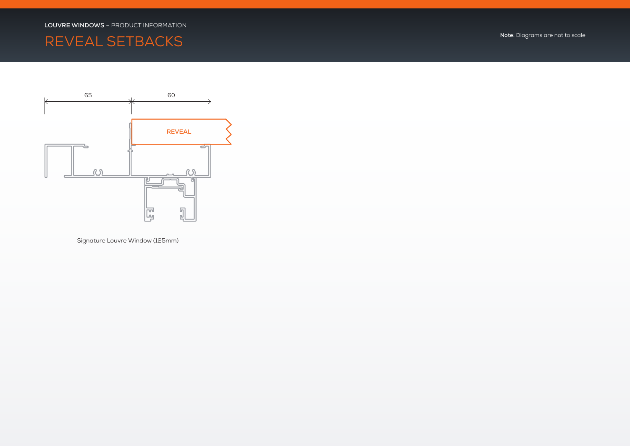# REVEAL SETBACKS **Note:** Diagrams are not to scale



Signature Louvre Window (125mm)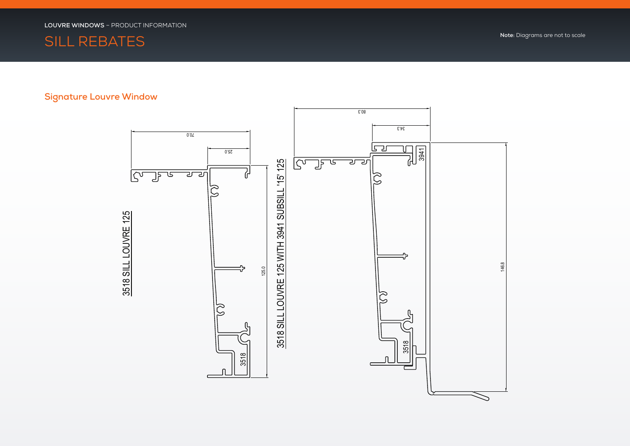

### **Signature Louvre Window**